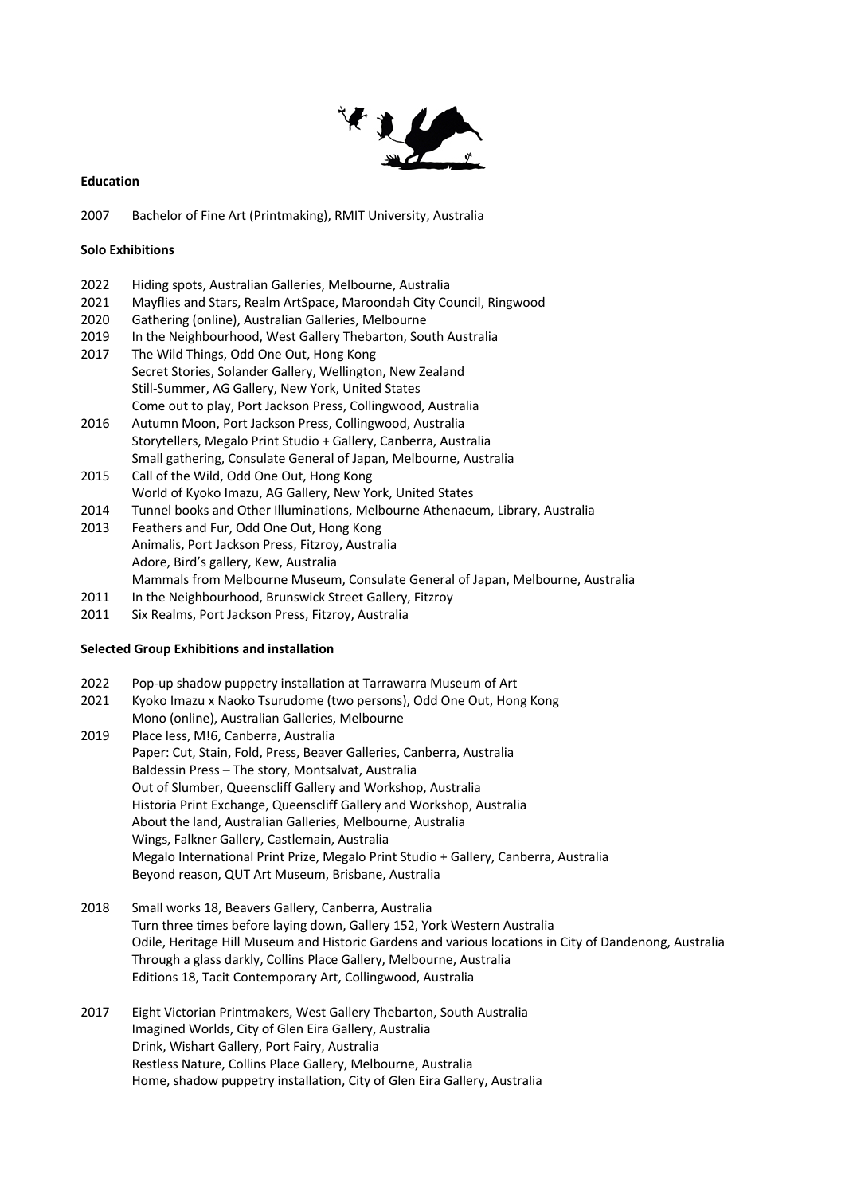

# **Education**

2007 Bachelor of Fine Art (Printmaking), RMIT University, Australia

## **Solo Exhibitions**

- 2022 Hiding spots, Australian Galleries, Melbourne, Australia
- 2021 Mayflies and Stars, Realm ArtSpace, Maroondah City Council, Ringwood
- 2020 Gathering (online), Australian Galleries, Melbourne
- 2019 In the Neighbourhood, West Gallery Thebarton, South Australia
- 2017 The Wild Things, Odd One Out, Hong Kong Secret Stories, Solander Gallery, Wellington, New Zealand Still-Summer, AG Gallery, New York, United States Come out to play, Port Jackson Press, Collingwood, Australia
- 2016 Autumn Moon, Port Jackson Press, Collingwood, Australia Storytellers, Megalo Print Studio + Gallery, Canberra, Australia Small gathering, Consulate General of Japan, Melbourne, Australia
- 2015 Call of the Wild, Odd One Out, Hong Kong World of Kyoko Imazu, AG Gallery, New York, United States
- 2014 Tunnel books and Other Illuminations, Melbourne Athenaeum, Library, Australia
- 2013 Feathers and Fur, Odd One Out, Hong Kong Animalis, Port Jackson Press, Fitzroy, Australia Adore, Bird's gallery, Kew, Australia Mammals from Melbourne Museum, Consulate General of Japan, Melbourne, Australia
- 2011 In the Neighbourhood, Brunswick Street Gallery, Fitzroy
- 2011 Six Realms, Port Jackson Press, Fitzroy, Australia

# **Selected Group Exhibitions and installation**

- 2022 Pop-up shadow puppetry installation at Tarrawarra Museum of Art
- 2021 Kyoko Imazu x Naoko Tsurudome (two persons), Odd One Out, Hong Kong Mono (online), Australian Galleries, Melbourne
- 2019 Place less, M!6, Canberra, Australia Paper: Cut, Stain, Fold, Press, Beaver Galleries, Canberra, Australia Baldessin Press – The story, Montsalvat, Australia Out of Slumber, Queenscliff Gallery and Workshop, Australia Historia Print Exchange, Queenscliff Gallery and Workshop, Australia About the land, Australian Galleries, Melbourne, Australia Wings, Falkner Gallery, Castlemain, Australia Megalo International Print Prize, Megalo Print Studio + Gallery, Canberra, Australia Beyond reason, QUT Art Museum, Brisbane, Australia
- 2018 Small works 18, Beavers Gallery, Canberra, Australia Turn three times before laying down, Gallery 152, York Western Australia Odile, Heritage Hill Museum and Historic Gardens and various locations in City of Dandenong, Australia Through a glass darkly, Collins Place Gallery, Melbourne, Australia Editions 18, Tacit Contemporary Art, Collingwood, Australia
- 2017 Eight Victorian Printmakers, West Gallery Thebarton, South Australia Imagined Worlds, City of Glen Eira Gallery, Australia Drink, Wishart Gallery, Port Fairy, Australia Restless Nature, Collins Place Gallery, Melbourne, Australia Home, shadow puppetry installation, City of Glen Eira Gallery, Australia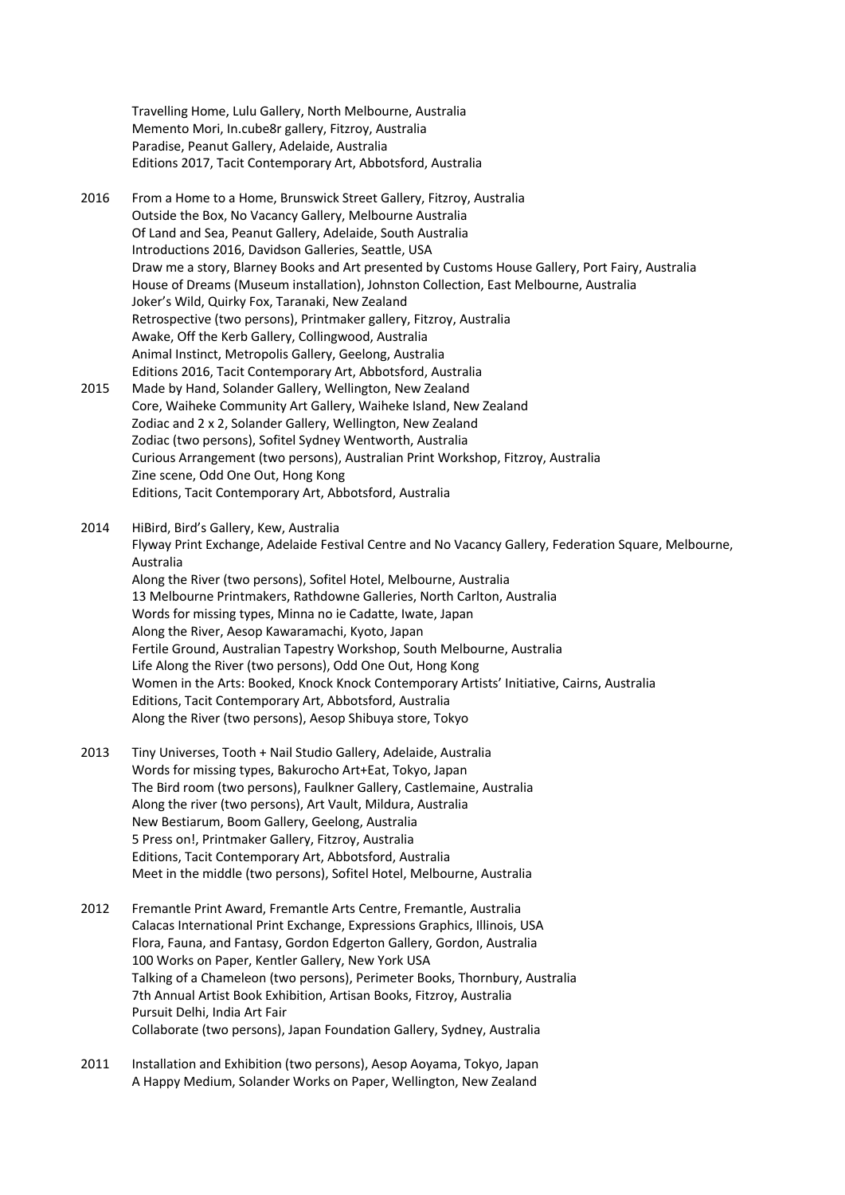Travelling Home, Lulu Gallery, North Melbourne, Australia Memento Mori, In.cube8r gallery, Fitzroy, Australia Paradise, Peanut Gallery, Adelaide, Australia Editions 2017, Tacit Contemporary Art, Abbotsford, Australia

- 2016 From a Home to a Home, Brunswick Street Gallery, Fitzroy, Australia Outside the Box, No Vacancy Gallery, Melbourne Australia Of Land and Sea, Peanut Gallery, Adelaide, South Australia Introductions 2016, Davidson Galleries, Seattle, USA Draw me a story, Blarney Books and Art presented by Customs House Gallery, Port Fairy, Australia House of Dreams (Museum installation), Johnston Collection, East Melbourne, Australia Joker's Wild, Quirky Fox, Taranaki, New Zealand Retrospective (two persons), Printmaker gallery, Fitzroy, Australia Awake, Off the Kerb Gallery, Collingwood, Australia Animal Instinct, Metropolis Gallery, Geelong, Australia Editions 2016, Tacit Contemporary Art, Abbotsford, Australia 2015 Made by Hand, Solander Gallery, Wellington, New Zealand
- Core, Waiheke Community Art Gallery, Waiheke Island, New Zealand Zodiac and 2 x 2, Solander Gallery, Wellington, New Zealand Zodiac (two persons), Sofitel Sydney Wentworth, Australia Curious Arrangement (two persons), Australian Print Workshop, Fitzroy, Australia Zine scene, Odd One Out, Hong Kong Editions, Tacit Contemporary Art, Abbotsford, Australia

2014 HiBird, Bird's Gallery, Kew, Australia Flyway Print Exchange, Adelaide Festival Centre and No Vacancy Gallery, Federation Square, Melbourne, Australia Along the River (two persons), Sofitel Hotel, Melbourne, Australia 13 Melbourne Printmakers, Rathdowne Galleries, North Carlton, Australia Words for missing types, Minna no ie Cadatte, Iwate, Japan Along the River, Aesop Kawaramachi, Kyoto, Japan Fertile Ground, Australian Tapestry Workshop, South Melbourne, Australia Life Along the River (two persons), Odd One Out, Hong Kong Women in the Arts: Booked, Knock Knock Contemporary Artists' Initiative, Cairns, Australia Editions, Tacit Contemporary Art, Abbotsford, Australia Along the River (two persons), Aesop Shibuya store, Tokyo

- 2013 Tiny Universes, Tooth + Nail Studio Gallery, Adelaide, Australia Words for missing types, Bakurocho Art+Eat, Tokyo, Japan The Bird room (two persons), Faulkner Gallery, Castlemaine, Australia Along the river (two persons), Art Vault, Mildura, Australia New Bestiarum, Boom Gallery, Geelong, Australia 5 Press on!, Printmaker Gallery, Fitzroy, Australia Editions, Tacit Contemporary Art, Abbotsford, Australia Meet in the middle (two persons), Sofitel Hotel, Melbourne, Australia
- 2012 Fremantle Print Award, Fremantle Arts Centre, Fremantle, Australia Calacas International Print Exchange, Expressions Graphics, Illinois, USA Flora, Fauna, and Fantasy, Gordon Edgerton Gallery, Gordon, Australia 100 Works on Paper, Kentler Gallery, New York USA Talking of a Chameleon (two persons), Perimeter Books, Thornbury, Australia 7th Annual Artist Book Exhibition, Artisan Books, Fitzroy, Australia Pursuit Delhi, India Art Fair Collaborate (two persons), Japan Foundation Gallery, Sydney, Australia
- 2011 Installation and Exhibition (two persons), Aesop Aoyama, Tokyo, Japan A Happy Medium, Solander Works on Paper, Wellington, New Zealand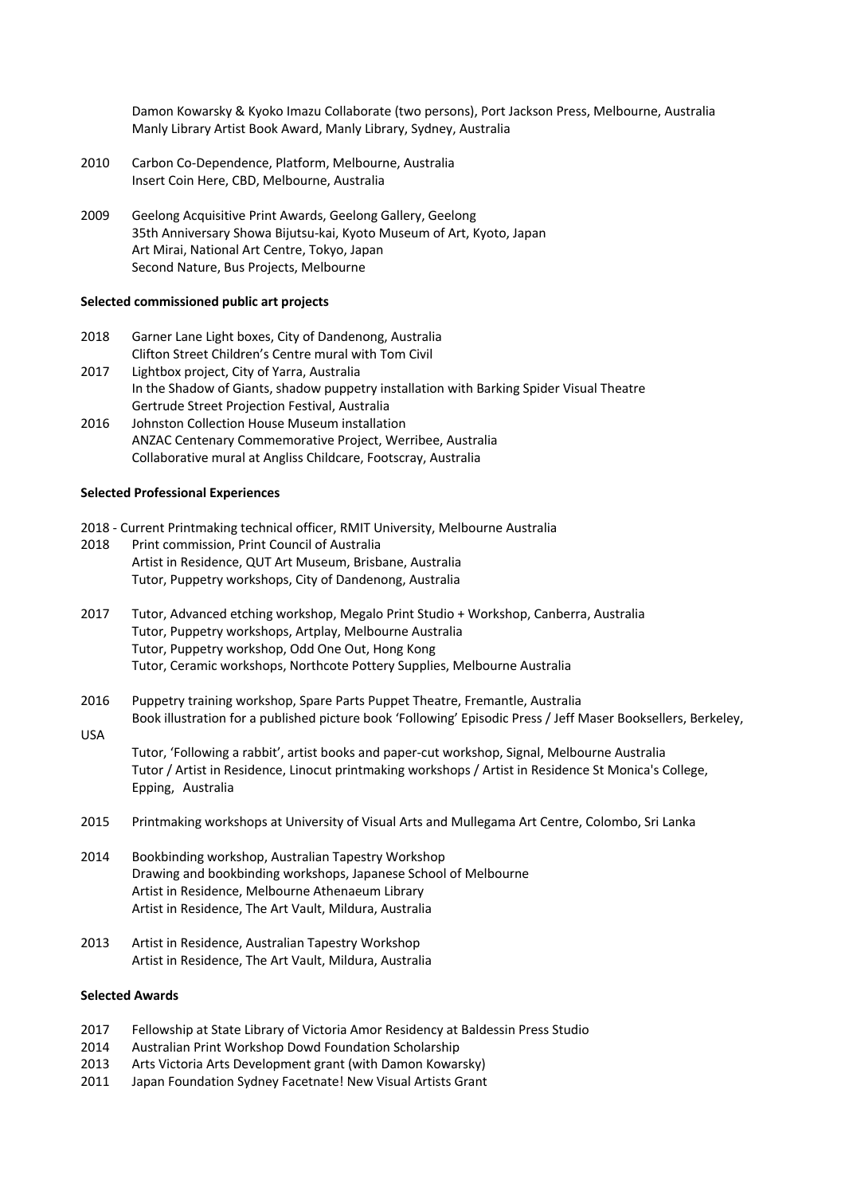Damon Kowarsky & Kyoko Imazu Collaborate (two persons), Port Jackson Press, Melbourne, Australia Manly Library Artist Book Award, Manly Library, Sydney, Australia

- 2010 Carbon Co-Dependence, Platform, Melbourne, Australia Insert Coin Here, CBD, Melbourne, Australia
- 2009 Geelong Acquisitive Print Awards, Geelong Gallery, Geelong 35th Anniversary Showa Bijutsu-kai, Kyoto Museum of Art, Kyoto, Japan Art Mirai, National Art Centre, Tokyo, Japan Second Nature, Bus Projects, Melbourne

### **Selected commissioned public art projects**

- 2018 Garner Lane Light boxes, City of Dandenong, Australia Clifton Street Children's Centre mural with Tom Civil
- 2017 Lightbox project, City of Yarra, Australia In the Shadow of Giants, shadow puppetry installation with Barking Spider Visual Theatre Gertrude Street Projection Festival, Australia
- 2016 Johnston Collection House Museum installation ANZAC Centenary Commemorative Project, Werribee, Australia Collaborative mural at Angliss Childcare, Footscray, Australia

### **Selected Professional Experiences**

- 2018 Current Printmaking technical officer, RMIT University, Melbourne Australia
- 2018 Print commission, Print Council of Australia Artist in Residence, QUT Art Museum, Brisbane, Australia Tutor, Puppetry workshops, City of Dandenong, Australia
- 2017 Tutor, Advanced etching workshop, Megalo Print Studio + Workshop, Canberra, Australia Tutor, Puppetry workshops, Artplay, Melbourne Australia Tutor, Puppetry workshop, Odd One Out, Hong Kong Tutor, Ceramic workshops, Northcote Pottery Supplies, Melbourne Australia
- 2016 Puppetry training workshop, Spare Parts Puppet Theatre, Fremantle, Australia
- Book illustration for a published picture book 'Following' Episodic Press / Jeff Maser Booksellers, Berkeley, USA

Tutor, 'Following a rabbit', artist books and paper-cut workshop, Signal, Melbourne Australia Tutor / Artist in Residence, Linocut printmaking workshops / Artist in Residence St Monica's College, Epping, Australia

- 2015 Printmaking workshops at University of Visual Arts and Mullegama Art Centre, Colombo, Sri Lanka
- 2014 Bookbinding workshop, Australian Tapestry Workshop Drawing and bookbinding workshops, Japanese School of Melbourne Artist in Residence, Melbourne Athenaeum Library Artist in Residence, The Art Vault, Mildura, Australia
- 2013 Artist in Residence, Australian Tapestry Workshop Artist in Residence, The Art Vault, Mildura, Australia

### **Selected Awards**

- 2017 Fellowship at State Library of Victoria Amor Residency at Baldessin Press Studio
- 2014 Australian Print Workshop Dowd Foundation Scholarship
- 2013 Arts Victoria Arts Development grant (with Damon Kowarsky)
- 2011 Japan Foundation Sydney Facetnate! New Visual Artists Grant